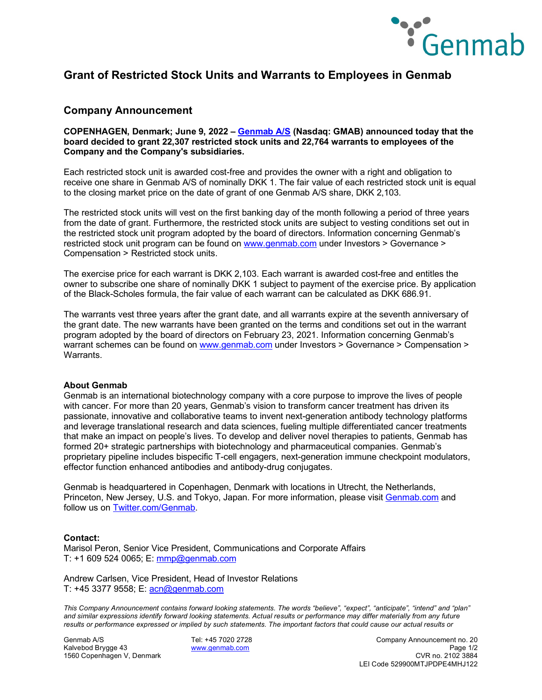

## **Grant of Restricted Stock Units and Warrants to Employees in Genmab**

### **Company Announcement**

**COPENHAGEN, Denmark; June 9, 2022 – [Genmab A/S](https://www.genmab.com/) (Nasdaq: GMAB) announced today that the board decided to grant 22,307 restricted stock units and 22,764 warrants to employees of the Company and the Company's subsidiaries.**

Each restricted stock unit is awarded cost-free and provides the owner with a right and obligation to receive one share in Genmab A/S of nominally DKK 1. The fair value of each restricted stock unit is equal to the closing market price on the date of grant of one Genmab A/S share, DKK 2,103.

The restricted stock units will vest on the first banking day of the month following a period of three years from the date of grant. Furthermore, the restricted stock units are subject to vesting conditions set out in the restricted stock unit program adopted by the board of directors. Information concerning Genmab's restricted stock unit program can be found on [www.genmab.com](http://www.genmab.com/) under Investors > Governance > Compensation > Restricted stock units.

The exercise price for each warrant is DKK 2,103. Each warrant is awarded cost-free and entitles the owner to subscribe one share of nominally DKK 1 subject to payment of the exercise price. By application of the Black-Scholes formula, the fair value of each warrant can be calculated as DKK 686.91.

The warrants vest three years after the grant date, and all warrants expire at the seventh anniversary of the grant date. The new warrants have been granted on the terms and conditions set out in the warrant program adopted by the board of directors on February 23, 2021. Information concerning Genmab's warrant schemes can be found on [www.genmab.com](http://www.genmab.com/) under Investors > Governance > Compensation > **Warrants** 

#### **About Genmab**

Genmab is an international biotechnology company with a core purpose to improve the lives of people with cancer. For more than 20 years, Genmab's vision to transform cancer treatment has driven its passionate, innovative and collaborative teams to invent next-generation antibody technology platforms and leverage translational research and data sciences, fueling multiple differentiated cancer treatments that make an impact on people's lives. To develop and deliver novel therapies to patients, Genmab has formed 20+ strategic partnerships with biotechnology and pharmaceutical companies. Genmab's proprietary pipeline includes bispecific T-cell engagers, next-generation immune checkpoint modulators, effector function enhanced antibodies and antibody-drug conjugates.

Genmab is headquartered in Copenhagen, Denmark with locations in Utrecht, the Netherlands, Princeton, New Jersey, U.S. and Tokyo, Japan. For more information, please visit [Genmab.com](https://www.genmab.com/) and follow us on [Twitter.com/Genmab.](https://twitter.com/Genmab)

#### **Contact:**

Marisol Peron, Senior Vice President, Communications and Corporate Affairs T: +1 609 524 0065; E: [mmp@genmab.com](mailto:mmp@genmab.com)

Andrew Carlsen, Vice President, Head of Investor Relations T: +45 3377 9558; E: [acn@genmab.com](mailto:acn@genmab.com)

*This Company Announcement contains forward looking statements. The words "believe", "expect", "anticipate", "intend" and "plan" and similar expressions identify forward looking statements. Actual results or performance may differ materially from any future results or performance expressed or implied by such statements. The important factors that could cause our actual results or* 

1560 Copenhagen V, Denmark

Genmab A/S Tel: +45 7020 2728 Company Announcement no. 20 Kalvebod Brygge 43 [www.genmab.com](http://www.genmab.com/) Page 1/2 LEI Code 529900MTJPDPE4MHJ122